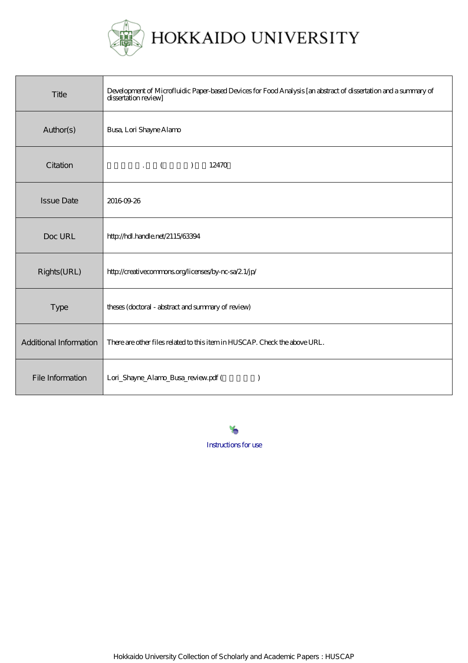

HOKKAIDO UNIVERSITY

| Title                  | Development of Microfluidic Paper-based Devices for Food Analysis [an abstract of dissertation and a summary of<br>dissertation review |
|------------------------|----------------------------------------------------------------------------------------------------------------------------------------|
| Author(s)              | <b>Busa, Lori Shayne Alamo</b>                                                                                                         |
| Citation               | $\cdot$ ( )<br>12470                                                                                                                   |
| <b>Issue Date</b>      | 20160926                                                                                                                               |
| Doc URL                | http://hdl.handle.net/2115/63394                                                                                                       |
| Rights(URL)            | http://creativecommons.org/licenses/by-nc-sa/2.1/jp/                                                                                   |
| Type                   | theses (doctoral - abstract and summary of review)                                                                                     |
| Additional Information | There are other files related to this item in HUSCAP. Check the above URL.                                                             |
| File Information       | Lori_Shayne_Alamo_Busa_review.pdf (<br>$\lambda$                                                                                       |

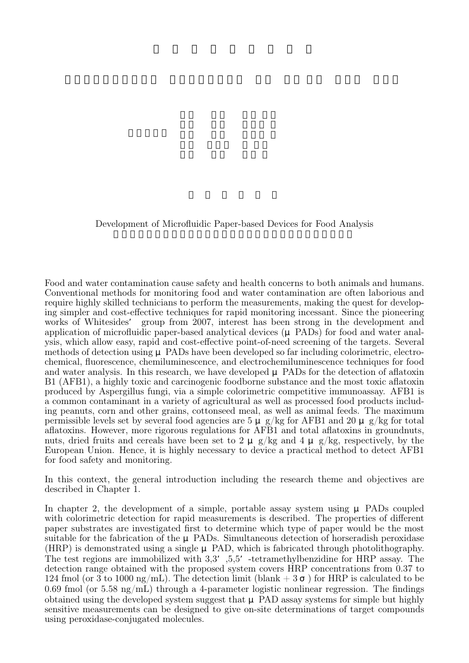Development of Microfluidic Paper-based Devices for Food Analysis

Food and water contamination cause safety and health concerns to both animals and humans. Conventional methods for monitoring food and water contamination are often laborious and require highly skilled technicians to perform the measurements, making the quest for developing simpler and cost-effective techniques for rapid monitoring incessant. Since the pioneering works of Whitesides' group from 2007, interest has been strong in the development and application of microfluidic paper-based analytical devices (μ PADs) for food and water analysis, which allow easy, rapid and cost-effective point-of-need screening of the targets. Several methods of detection using μ PADs have been developed so far including colorimetric, electrochemical, fluorescence, chemiluminescence, and electrochemiluminescence techniques for food and water analysis. In this research, we have developed  $\mu$  PADs for the detection of aflatoxin B1 (AFB1), a highly toxic and carcinogenic foodborne substance and the most toxic aflatoxin produced by Aspergillus fungi, via a simple colorimetric competitive immunoassay. AFB1 is a common contaminant in a variety of agricultural as well as processed food products including peanuts, corn and other grains, cottonseed meal, as well as animal feeds. The maximum permissible levels set by several food agencies are  $5 \mu$  g/kg for AFB1 and  $20 \mu$  g/kg for total aflatoxins. However, more rigorous regulations for AFB1 and total aflatoxins in groundnuts, nuts, dried fruits and cereals have been set to 2  $\mu$  g/kg and 4  $\mu$  g/kg, respectively, by the European Union. Hence, it is highly necessary to device a practical method to detect AFB1 for food safety and monitoring.

In this context, the general introduction including the research theme and objectives are described in Chapter 1.

In chapter 2, the development of a simple, portable assay system using  $\mu$  PADs coupled with colorimetric detection for rapid measurements is described. The properties of different paper substrates are investigated first to determine which type of paper would be the most suitable for the fabrication of the μ PADs. Simultaneous detection of horseradish peroxidase (HRP) is demonstrated using a single μ PAD, which is fabricated through photolithography. The test regions are immobilized with 3,3', 5,5' -tetramethylbenzidine for HRP assay. The detection range obtained with the proposed system covers HRP concentrations from 0.37 to 124 fmol (or 3 to 1000 ng/mL). The detection limit (blank  $+3$ ) for HRP is calculated to be 0.69 fmol (or 5.58 ng/mL) through a 4-parameter logistic nonlinear regression. The findings obtained using the developed system suggest that μ PAD assay systems for simple but highly sensitive measurements can be designed to give on-site determinations of target compounds using peroxidase-conjugated molecules.